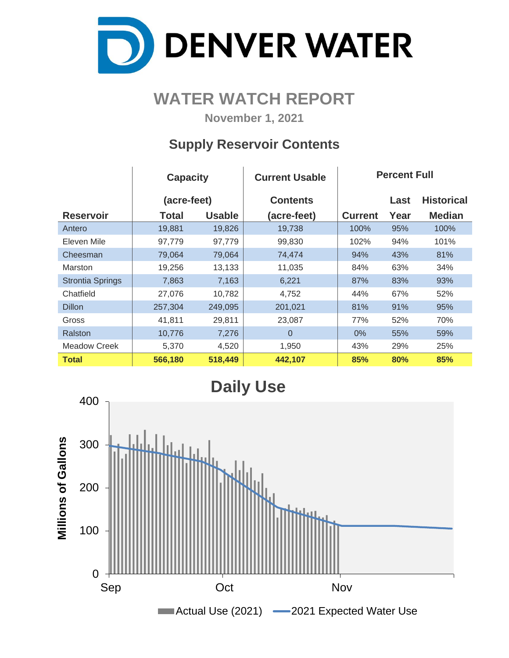

# **WATER WATCH REPORT**

**November 1, 2021**

### **Supply Reservoir Contents**

|                         | <b>Capacity</b> |               | <b>Current Usable</b> | <b>Percent Full</b> |      |                   |  |  |  |
|-------------------------|-----------------|---------------|-----------------------|---------------------|------|-------------------|--|--|--|
|                         | (acre-feet)     |               | <b>Contents</b>       |                     | Last | <b>Historical</b> |  |  |  |
| <b>Reservoir</b>        | Total           | <b>Usable</b> | (acre-feet)           | <b>Current</b>      | Year | <b>Median</b>     |  |  |  |
| Antero                  | 19,881          | 19,826        | 19,738                | 100%                | 95%  | 100%              |  |  |  |
| Eleven Mile             | 97,779          | 97,779        | 99,830                | 102%                | 94%  | 101%              |  |  |  |
| Cheesman                | 79,064          | 79,064        | 74,474                | 94%                 | 43%  | 81%               |  |  |  |
| Marston                 | 19,256          | 13,133        | 11,035                | 84%                 | 63%  | 34%               |  |  |  |
| <b>Strontia Springs</b> | 7,863           | 7,163         | 6,221                 | 87%                 | 83%  | 93%               |  |  |  |
| Chatfield               | 27,076          | 10,782        | 4,752                 | 44%                 | 67%  | 52%               |  |  |  |
| <b>Dillon</b>           | 257,304         | 249,095       | 201,021               | 81%                 | 91%  | 95%               |  |  |  |
| Gross                   | 41,811          | 29,811        | 23,087                | 77%                 | 52%  | 70%               |  |  |  |
| Ralston                 | 10,776          | 7,276         | $\Omega$              | $0\%$               | 55%  | 59%               |  |  |  |
| <b>Meadow Creek</b>     | 5,370           | 4,520         | 1,950                 | 43%                 | 29%  | 25%               |  |  |  |
| <b>Total</b>            | 566,180         | 518,449       | 442,107               | 85%                 | 80%  | 85%               |  |  |  |

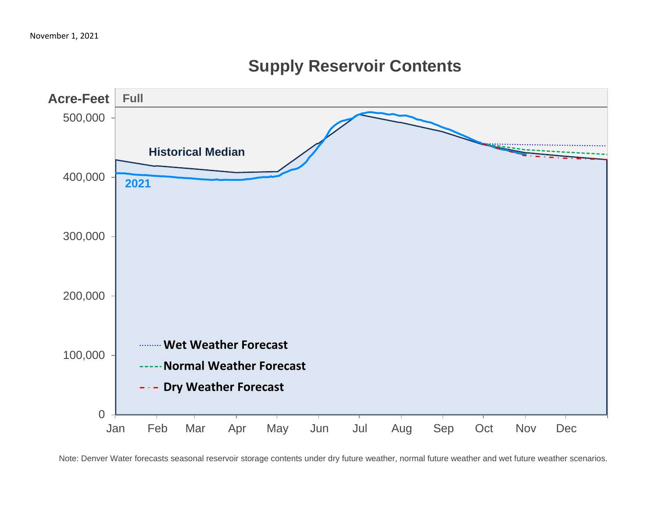

# **Supply Reservoir Contents**

Note: Denver Water forecasts seasonal reservoir storage contents under dry future weather, normal future weather and wet future weather scenarios.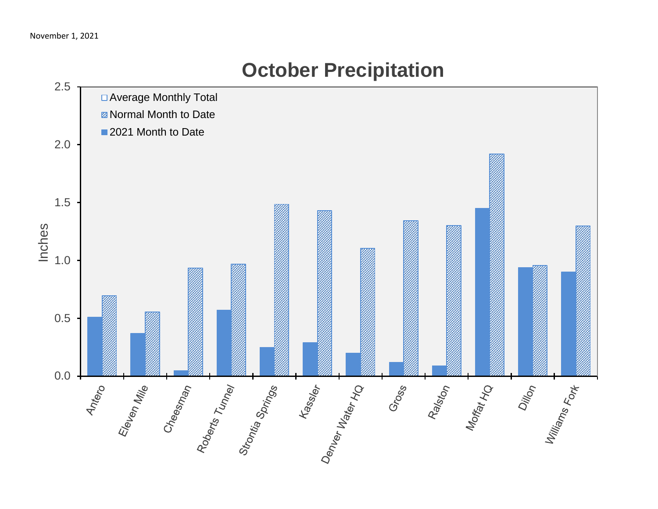# 2.5 □ Average Monthly Total **Z** Normal Month to Date 2021 Month to Date 2.0 1.5 Inches 1.0 0.5 us ss and the substitution of the Material Period Contractor 0.0  $+$   $\frac{1}{2}$ Eleven Mille<br>Cheesman<br>Poberts Tunney Dillon<br>Villiams Fort Ralston<br>Morfat HQ Gross

# **October Precipitation**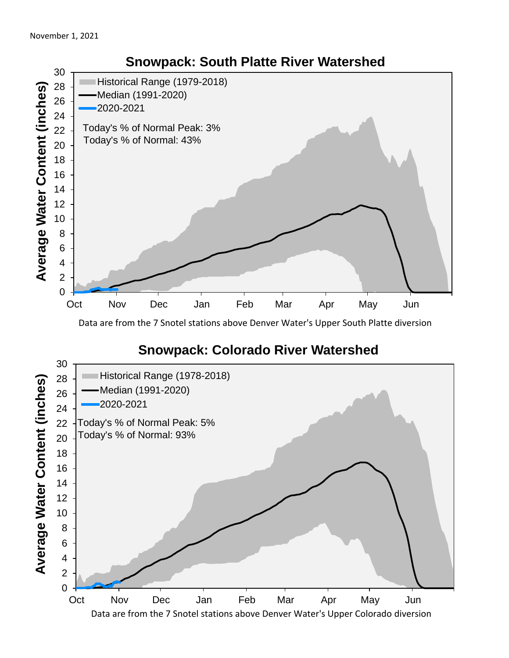

Data are from the 7 Snotel stations above Denver Water's Upper South Platte diversion

#### **Snowpack: Colorado River Watershed**

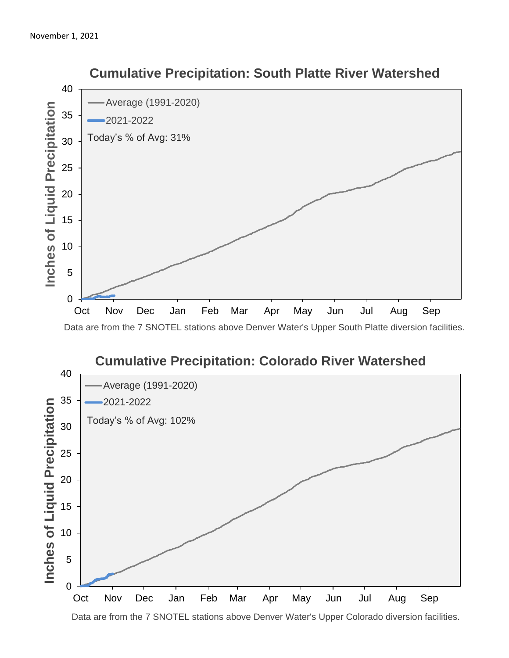

 **Cumulative Precipitation: South Platte River Watershed**

Data are from the 7 SNOTEL stations above Denver Water's Upper South Platte diversion facilities.



Data are from the 7 SNOTEL stations above Denver Water's Upper Colorado diversion facilities.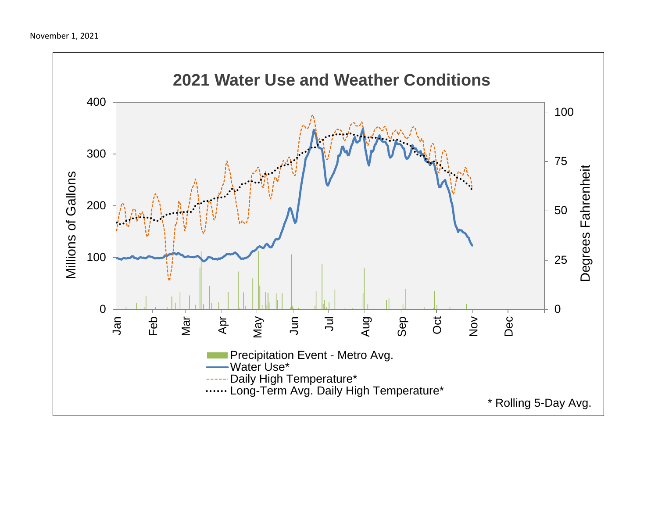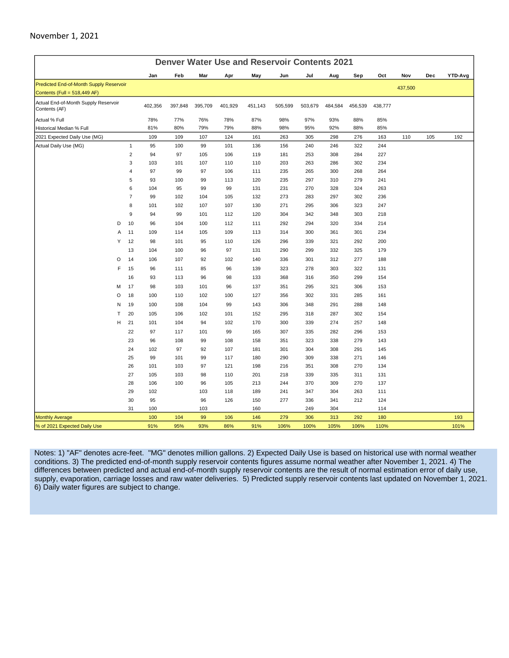| <b>Denver Water Use and Reservoir Contents 2021</b>   |   |                |            |            |          |            |            |            |            |            |            |            |         |     |         |
|-------------------------------------------------------|---|----------------|------------|------------|----------|------------|------------|------------|------------|------------|------------|------------|---------|-----|---------|
|                                                       |   |                | Jan        | Feb        | Mar      | Apr        | May        | Jun        | Jul        | Aug        | Sep        | Oct        | Nov     | Dec | YTD-Avg |
| Predicted End-of-Month Supply Reservoir               |   |                |            |            |          |            |            |            |            |            |            |            | 437,500 |     |         |
| Contents (Full = 518,449 AF)                          |   |                |            |            |          |            |            |            |            |            |            |            |         |     |         |
| Actual End-of-Month Supply Reservoir<br>Contents (AF) |   |                | 402,356    | 397,848    | 395,709  | 401,929    | 451,143    | 505,599    | 503,679    | 484,584    | 456,539    | 438,777    |         |     |         |
| Actual % Full                                         |   |                | 78%        | 77%        | 76%      | 78%        | 87%        | 98%        | 97%        | 93%        | 88%        | 85%        |         |     |         |
| Historical Median % Full                              |   |                | 81%        | 80%        | 79%      | 79%        | 88%        | 98%        | 95%        | 92%        | 88%        | 85%        |         |     |         |
| 2021 Expected Daily Use (MG)                          |   |                | 109        | 109        | 107      | 124        | 161        | 263        | 305        | 298        | 276        | 163        | 110     | 105 | 192     |
| Actual Daily Use (MG)                                 |   | $\mathbf{1}$   | 95         | 100        | 99       | 101        | 136        | 156        | 240        | 246        | 322        | 244        |         |     |         |
|                                                       |   | $\overline{2}$ | 94         | 97         | 105      | 106        | 119        | 181        | 253        | 308        | 284        | 227        |         |     |         |
|                                                       |   | 3              | 103        | 101        | 107      | 110        | 110        | 203        | 263        | 286        | 302        | 234        |         |     |         |
|                                                       |   | 4              | 97         | 99         | 97       | 106        | 111        | 235        | 265        | 300        | 268        | 264        |         |     |         |
|                                                       |   | 5              | 93         | 100        | 99       | 113        | 120        | 235        | 297        | 310        | 279        | 241        |         |     |         |
|                                                       |   | 6              | 104        | 95         | 99       | 99         | 131        | 231        | 270        | 328        | 324        | 263        |         |     |         |
|                                                       |   | 7              | 99         | 102        | 104      | 105        | 132        | 273        | 283        | 297        | 302        | 236        |         |     |         |
|                                                       |   | 8              | 101        | 102        | 107      | 107        | 130        | 271        | 295        | 306        | 323        | 247        |         |     |         |
|                                                       |   | 9              | 94         | 99         | 101      | 112        | 120        | 304        | 342        | 348        | 303        | 218        |         |     |         |
|                                                       | D | 10             | 96         | 104        | 100      | 112        | 111        | 292        | 294        | 320        | 334        | 214        |         |     |         |
|                                                       | A | 11             | 109        | 114        | 105      | 109        | 113        | 314        | 300        | 361        | 301        | 234        |         |     |         |
|                                                       | Υ | 12             | 98         | 101        | 95       | 110        | 126        | 296        | 339        | 321        | 292        | 200        |         |     |         |
|                                                       |   | 13             | 104        | 100        | 96       | 97         | 131        | 290        | 299        | 332        | 325        | 179        |         |     |         |
|                                                       | O | 14             | 106        | 107        | 92       | 102        | 140        | 336        | 301        | 312        | 277        | 188        |         |     |         |
|                                                       | F | 15             | 96         | 111        | 85       | 96         | 139        | 323        | 278        | 303        | 322        | 131        |         |     |         |
|                                                       |   | 16             | 93         | 113        | 96       | 98         | 133        | 368        | 316        | 350        | 299        | 154        |         |     |         |
|                                                       | M | 17             | 98         | 103        | 101      | 96         | 137        | 351        | 295        | 321        | 306        | 153        |         |     |         |
|                                                       | O | 18             | 100        | 110        | 102      | 100        | 127        | 356        | 302        | 331        | 285        | 161        |         |     |         |
|                                                       | N | 19             | 100        | 108        | 104      | 99         | 143        | 306        | 348        | 291        | 288        | 148        |         |     |         |
|                                                       | T | 20             | 105        | 106        | 102      | 101        | 152        | 295        | 318        | 287        | 302        | 154        |         |     |         |
|                                                       | н | 21             | 101        | 104        | 94       | 102        | 170        | 300        | 339        | 274        | 257        | 148        |         |     |         |
|                                                       |   | 22             | 97         | 117        | 101      | 99         | 165        | 307        | 335        | 282        | 296        | 153        |         |     |         |
|                                                       |   | 23             | 96         | 108        | 99       | 108        | 158        | 351        | 323        | 338        | 279        | 143        |         |     |         |
|                                                       |   | 24             | 102        | 97         | 92       | 107        | 181        | 301        | 304        | 308        | 291        | 145        |         |     |         |
|                                                       |   | 25             | 99         | 101        | 99       | 117<br>121 | 180        | 290        | 309        | 338        | 271<br>270 | 146        |         |     |         |
|                                                       |   | 26<br>27       | 101<br>105 | 103<br>103 | 97<br>98 | 110        | 198<br>201 | 216<br>218 | 351<br>339 | 308<br>335 | 311        | 134<br>131 |         |     |         |
|                                                       |   | 28             | 106        | 100        | 96       | 105        | 213        | 244        | 370        | 309        | 270        | 137        |         |     |         |
|                                                       |   | 29             | 102        |            | 103      | 118        | 189        | 241        | 347        | 304        | 263        | 111        |         |     |         |
|                                                       |   | 30             | 95         |            | 96       | 126        | 150        | 277        | 336        | 341        | 212        | 124        |         |     |         |
|                                                       |   | 31             | 100        |            | 103      |            | 160        |            | 249        | 304        |            | 114        |         |     |         |
| <b>Monthly Average</b>                                |   |                | 100        | 104        | 99       | 106        | 146        | 279        | 306        | 313        | 292        | 180        |         |     | 193     |
| % of 2021 Expected Daily Use                          |   |                | 91%        | 95%        | 93%      | 86%        | 91%        | 106%       | 100%       | 105%       | 106%       | 110%       |         |     | 101%    |

Notes: 1) "AF" denotes acre-feet. "MG" denotes million gallons. 2) Expected Daily Use is based on historical use with normal weather conditions. 3) The predicted end-of-month supply reservoir contents figures assume normal weather after November 1, 2021. 4) The differences between predicted and actual end-of-month supply reservoir contents are the result of normal estimation error of daily use, supply, evaporation, carriage losses and raw water deliveries. 5) Predicted supply reservoir contents last updated on November 1, 2021. 6) Daily water figures are subject to change.